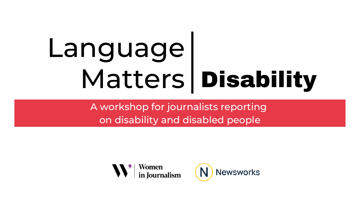A workshop for journalists reporting on disability and disabled people



#### **Newsworks**

# Disability Language Matters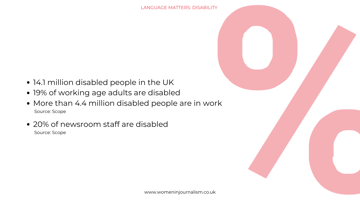

- 14.1 million disabled people in the UK
- 19% of working age adults are disabled
- More than 4.4 million disabled people are in work Source: Scope
- 20% of newsroom staff are disabled Source: Scope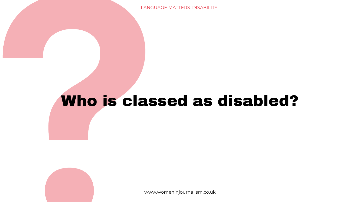www.womeninjournalism.co.uk

# Who is classed as disabled?

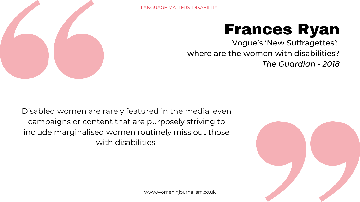

Disabled women are rarely featured in the media: even campaigns or content that are purposely striving to include marginalised women routinely miss out those with disabilities.

www.womeninjournalism.co.uk

### Frances Ryan Vogue's 'New Suffragettes': where are the women with disabilities? *The Guardian - 2018*

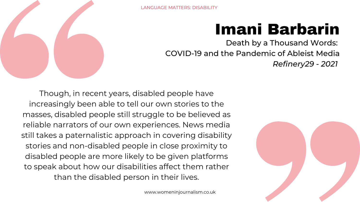



Though, in recent years, disabled people have increasingly been able to tell our own stories to the masses, disabled people still struggle to be believed as reliable narrators of our own experiences. News media still takes a paternalistic approach in covering disability stories and non-disabled people in close proximity to disabled people are more likely to be given platforms to speak about how our disabilities affect them rather than the disabled person in their lives.

### Imani Barbarin Death by a Thousand Words: COVID-19 and the Pandemic of Ableist Media *Refinery29 - 2021*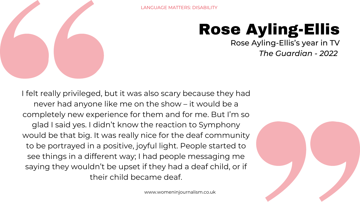

www.womeninjournalism.co.uk

I felt really privileged, but it was also scary because they had never had anyone like me on the show – it would be a completely new experience for them and for me. But I'm so glad I said yes. I didn't know the reaction to Symphony would be that big. It was really nice for the deaf community to be portrayed in a positive, joyful light. People started to see things in a different way; I had people messaging me saying they wouldn't be upset if they had a deaf child, or if their child became deaf.

### Rose Ayling-Ellis Rose Ayling-Ellis's year in TV *The Guardian - 2022*

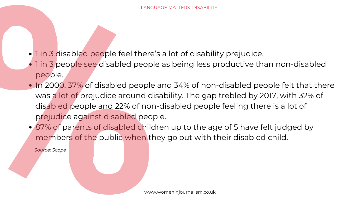*Source: Scope*

- 1 in 3 disabled people feel there's a lot of disability prejudice.
- 1 in 3 people see disabled people as being less productive than non-disabled people.
- In 2000, 37% of disabled people and 34% of non-disabled people felt that there was a lot of prejudice around disability. The gap trebled by 2017, with 32% of disabled people and 22% of non-disabled people feeling there is a lot of prejudice against disabled people.
- 87% of parents of disabled children up to the age of 5 have felt judged by members of the public when they go out with their disabled child.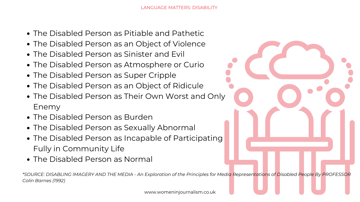- The Disabled Person as Pitiable and Pathetic
- The Disabled Person as an Object of Violence
- The Disabled Person as Sinister and Evil
- The Disabled Person as Atmosphere or Curio
- The Disabled Person as Super Cripple
- The Disabled Person as an Object of Ridicule
- The Disabled Person as Their Own Worst and Only Enemy
- The Disabled Person as Burden
- The Disabled Person as Sexually Abnormal
- The Disabled Person as Incapable of Participating Fully in Community Life
- The Disabled Person as Normal

\*SOURCE: DISABLING IMAGERY AND THE MEDIA - An Exploration of the Principles for Media Representations of Disabled People By PROFESSOR *Colin Barnes (1992)*

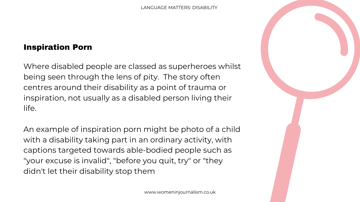#### Inspiration Porn

Where disabled people are classed as superheroes whilst being seen through the lens of pity. The story often centres around their disability as a point of trauma or inspiration, not usually as a disabled person living their life. An example of inspiration porn might be photo of a child with a disability taking part in an ordinary activity, with captions targeted towards able-bodied people such as "your excuse is invalid" , "before you quit, try" or "they didn't let their disability stop them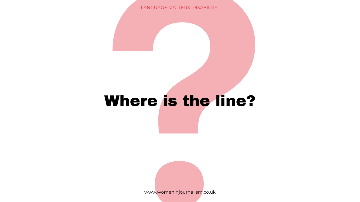# Where is the line?

www.womeninjournalism.co.uk

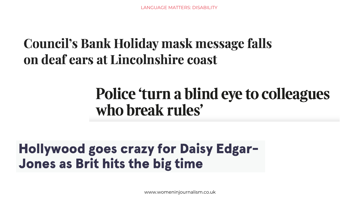## **Council's Bank Holiday mask message falls** on deaf ears at Lincolnshire coast

# Police 'turn a blind eye to colleagues who break rules'

## **Hollywood goes crazy for Daisy Edgar-Jones as Brit hits the big time**

www.womeninjournalism.co.uk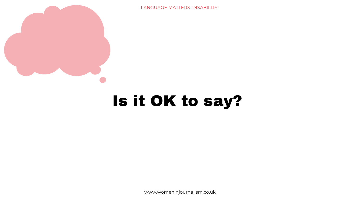

www.womeninjournalism.co.uk



# Is it OK to say?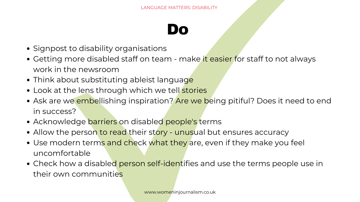- Signpost to disability organisations
- Getting more disabled staff on team make it easier for staff to not always work in the newsroom
- Think about substituting ableist language
- Look at the lens through which we tell stories
- Ask are we embellishing inspiration? Are we being pitiful? Does it need to end in success?
- Acknowledge barriers on disabled people's terms
- Allow the person to read their story unusual but ensures accuracy
- Use modern terms and check what they are, even if they make you feel uncomfortable
- Check how a disabled person self-identifies and use the terms people use in their own communities

## Do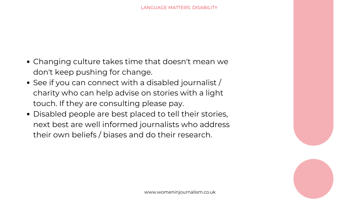- Changing culture takes time that doesn't mean we don't keep pushing for change.
- See if you can connect with a disabled journalist / charity who can help advise on stories with a light touch. If they are consulting please pay.
- Disabled people are best placed to tell their stories, next best are well informed journalists who address their own beliefs / biases and do their research.

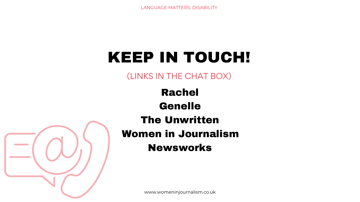





# KEEP IN TOUCH!

#### (LINKS IN THE CHAT BOX)

## Rachel Genelle The Unwritten Women in Journalism Newsworks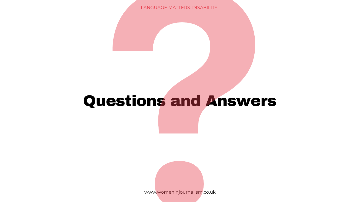# Questions and Answers

LANGUAGE MATTERS: DISABILITY

www.womeninjournalism.co.uk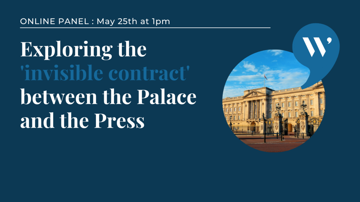#### ONLINE PANEL: May 25th at 1pm

**Exploring the** 'invisible contract' between the Palace and the Press

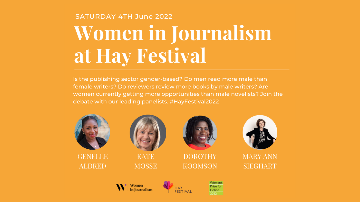# **SATURDAY 4TH June 2022** Women in Journalism at Hay Festival

Is the publishing sector gender-based? Do men read more male than female writers? Do reviewers review more books by male writers? Are women currently getting more opportunities than male novelists? Join the debate with our leading panelists. #HayFestival2022



**GENELLE ALDRED** 



**KATE MOSSE** 



**DOROTHY KOOMSON** 



Women's Prize for **Fiction** 2022



#### **MARY ANN SIEGHART**